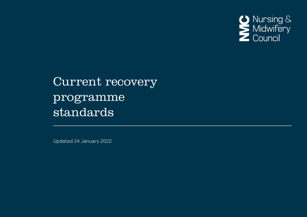

# Current recovery programme standards

Updated 24 January 2022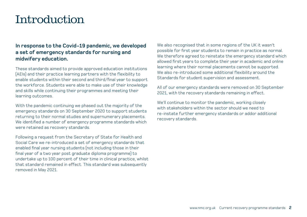# Introduction

# **In response to the Covid-19 pandemic, we developed a set of emergency standards for nursing and midwifery education.**

These standards aimed to provide approved education institutions (AEIs) and their practice learning partners with the flexibility to enable students within their second and third/final year to support the workforce. Students were able to make use of their knowledge and skills while continuing their programmes and meeting their learning outcomes.

With the pandemic continuing we phased out the majority of the emergency standards on 30 September 2020 to support students returning to their normal studies and supernumerary placements. We identified a number of emergency programme standards which were retained as recovery standards.

Following a request from the Secretary of State for Health and Social Care we re-introduced a set of emergency standards that enabled final year nursing students (not including those in their final year of a two year post graduate diploma programme) to undertake up to 100 percent of their time in clinical practice, whilst that standard remained in effect. This standard was subsequently removed in May 2021.

We also recognised that in some regions of the UK it wasn't possible for first year students to remain in practice as normal. We therefore agreed to reinstate the emergency standard which allowed first years to complete their year in academic and online learning where their normal placements cannot be supported. We also re-introduced some additional flexibility around the Standards for student supervision and assessment.

All of our emergency standards were removed on 30 September 2021, with the recovery standards remaining in effect.

We'll continue to monitor the pandemic, working closely with stakeholders within the sector should we need to re-instate further emergency standards or addor additional recovery standards.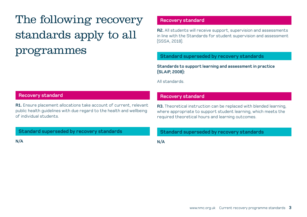The following recovery standards apply to all programmes

# **Recovery standard**

**R1.** Ensure placement allocations take account of current, relevant public health guidelines with due regard to the health and wellbeing of individual students.

**Standard superseded by recovery standards**

**N/A**

#### **Recovery standard**

**R2.** All students will receive support, supervision and assessments in line with the Standards for student supervision and assessment (SSSA, 2018).

#### **Standard superseded by recovery standards**

**Standards to support learning and assessment in practice (SLAiP, 2008):**

All standards.

#### **Recovery standard**

**R3.** Theoretical instruction can be replaced with blended learning, where appropriate to support student learning, which meets the required theoretical hours and learning outcomes.

#### **Standard superseded by recovery standards**

**N/A**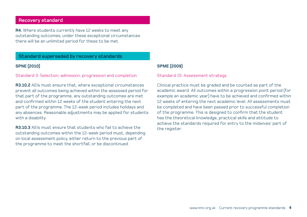# **Recovery standard**

**R4.** Where students currently have 12 weeks to meet any outstanding outcomes, under these exceptional circumstances there will be an unlimited period for these to be met.

## **Standard superseded by recovery standards**

#### **SPNE (2010)**

Standard 3: Selection, admission, progression and completion

**R3.10.2** AEIs must ensure that, where exceptional circumstances prevent all outcomes being achieved within the assessed period for that part of the programme, any outstanding outcomes are met and confirmed within 12 weeks of the student entering the next part of the programme. The 12-week period includes holidays and any absences. Reasonable adjustments may be applied for students with a disability.

**R3.10.3** AEIs must ensure that students who fail to achieve the outstanding outcomes within the 12-week period must, depending on local assessment policy, either return to the previous part of the programme to meet the shortfall, or be discontinued.

### **SPME (2009)**

Standard 15: Assessment strategy

Clinical practice must be graded and be counted as part of the academic award. All outcomes within a progression point period (for example an academic year) have to be achieved and confirmed within 12 weeks of entering the next academic level. All assessments must be completed and have been passed prior to successful completion of the programme. This is designed to confirm that the student has the theoretical knowledge, practical skills and attitude to achieve the standards required for entry to the midwives' part of the register.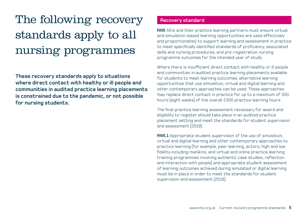# The following recovery standards apply to all nursing programmes

**These recovery standards apply to situations where direct contact with healthy or ill people and communities in audited practice learning placements is constrained due to the pandemic, or not possible for nursing students.**

## **Recovery standard**

**RN5** AEIs and their practice learning partners must ensure virtual and simulation-based learning opportunities are used effectively and proportionately to support learning and assessment in practice to meet specifically identified standards of proficiency, associated skills and nursing procedures, and pre-registration nursing programme outcomes for the intended year of study.

Where there is insufficient direct contact with healthy or ill people and communities in audited practice learning placements available for students to meet learning outcomes, alternative learning opportunities that use simulation, virtual and digital learning and other contemporary approaches can be used. These approaches may replace direct contact in practice for up to a maximum of 300 hours (eight weeks) of the overall 2300 practice learning hours.

The final practice learning assessment necessary for award and eligibility to register should take place in an audited practice placement setting and meet the standards for student supervision and assessment (2018).

**RN5.1** Appropriate student supervision of the use of simulation, virtual and digital learning and other contemporary approaches to practice learning (for example, peer learning, actors; high and low fidelity including manikins; and virtual and online practice learning training programmes involving authentic case studies, reflection and interaction with people) and appropriate student assessment of learning outcomes achieved during simulated or digital learning must be in place in order to meet the standards for student supervision and assessment (2018).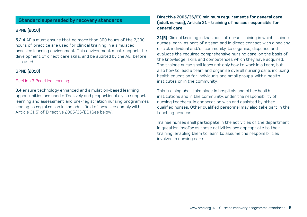## **Standard superseded by recovery standards**

#### **SPNE (2010)**

**5.2.4** AEIs must ensure that no more than 300 hours of the 2,300 hours of practice are used for clinical training in a simulated practice learning environment. This environment must support the development of direct care skills, and be audited by the AEI before it is used.

#### **SPNE (2018)**

#### Section 3 Practice learning

**3.4** ensure technology enhanced and simulation-based learning opportunities are used effectively and proportionately to support learning and assessment and pre-registration nursing programmes leading to registration in the adult field of practice comply with Article 31(5) of Directive 2005/36/EC (See below).

#### **Directive 2005/36/EC minimum requirements for general care (adult nurses), Article 31 - training of nurses responsible for general care**

**31(5)** Clinical training is that part of nurse training in which trainee nurses learn, as part of a team and in direct contact with a healthy or sick individual and/or community, to organise, dispense and evaluate the required comprehensive nursing care, on the basis of the knowledge, skills and competences which they have acquired. The trainee nurse shall learn not only how to work in a team, but also how to lead a team and organise overall nursing care, including health education for individuals and small groups, within health institutes or in the community.

This training shall take place in hospitals and other health institutions and in the community, under the responsibility of nursing teachers, in cooperation with and assisted by other qualified nurses. Other qualified personnel may also take part in the teaching process.

Trainee nurses shall participate in the activities of the department in question insofar as those activities are appropriate to their training, enabling them to learn to assume the responsibilities involved in nursing care.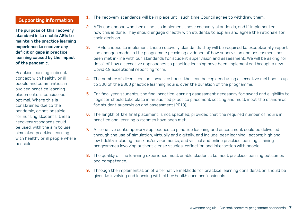# **Supporting information**

**The purpose of this recovery standard is to enable AEIs to maintain the practice learning experience to recover any deficit or gaps in practice learning caused by the impact of the pandemic.** 

Practice learning in direct contact with healthy or ill people and communities in audited practice learning placements is considered optimal. Where this is constrained due to the pandemic, or not possible for nursing students, these recovery standards could be used, with the aim to use simulated practice learning with healthy or ill people where possible.

- **1.** The recovery standards will be in place until such time Council agree to withdraw them.
- **2.** AEIs can choose whether or not to implement these recovery standards, and if implemented, how this is done. They should engage directly with students to explain and agree the rationale for their decision.
- **3.** If AEIs choose to implement these recovery standards they will be required to exceptionally report the changes made to the programme providing evidence of how supervision and assessment has been met in-line with our standards for student supervision and assessment. We will be asking for detail of how alternative approaches to practice learning have been implemented through a new Covid-19 exceptional reporting form.
- **4.** The number of direct contact practice hours that can be replaced using alternative methods is up to 300 of the 2300 practice learning hours, over the duration of the programme.
- **5.** For final year students, the final practice learning assessment necessary for award and eligibility to register should take place in an audited practice placement setting and must meet the standards for student supervision and assessment (2018).
- **6.** The length of the final placement is not specified, provided that the required number of hours in practice and learning outcomes have been met.
- **7.** Alternative contemporary approaches to practice learning and assessment could be delivered through the use of simulation, virtually and digitally, and include: peer learning; actors; high and low fidelity including manikins/environments; and virtual and online practice learning training programmes involving authentic case studies, reflection and interaction with people.
- **8.** The quality of the learning experience must enable students to meet practice learning outcomes and competence.
- **9.** Through the implementation of alternative methods for practice learning consideration should be given to involving and learning with other health care professionals.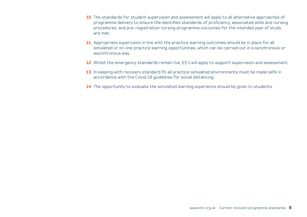- **10.** The standards for student supervision and assessment will apply to all alternative approaches of programme delivery to ensure the identified standards of proficiency, associated skills and nursing procedures, and pre-registration nursing programme outcomes for the intended year of study are met.
- **11.** Appropriate supervision in line with the practice learning outcomes should be in place for all simulated or on-line practice learning opportunities, which can be carried out in a synchronous or asynchronous way.
- **12.** Whilst the emergency standards remain live, E5.1 will apply to support supervision and assessment.
- **13.** In keeping with recovery standard R1 all practice simulated environments must be made safe in accordance with the Covid-19 guidelines for social distancing.
- **14.** The opportunity to evaluate the simulated learning experience should be given to students.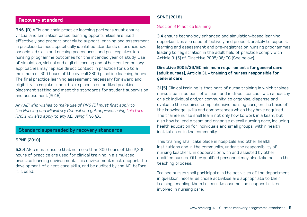### **Recovery standard**

**RN6. (D)** AEIs and their practice learning partners must ensure virtual and simulation based learning opportunities are used effectively and proportionately to support learning and assessment in practice to meet specifically identified standards of proficiency, associated skills and nursing procedures, and pre-registration nursing programme outcomes for the intended year of study. Use of simulation, virtual and digital learning and other contemporary approaches may replace direct contact in practice for up to a maximum of 600 hours of the overall 2300 practice learning hours. The final practice learning assessment necessary for award and eligibility to register should take place in an audited practice placement setting and meet the standards for student supervision and assessment (2018).

*Any AEI who wishes to make use of RN6 (D) must first apply to the Nursing and Midwifery Council and get approval using [this form.](https://www.nmc.org.uk/globalassets/sitedocuments/education-standards/application-form-for-aeis-to-seek-approval-to-deliver-rn6.doc) RN5.1 will also apply to any AEI using RN6 (D).*

#### **Standard superseded by recovery standards**

#### **SPNE (2010)**

**5.2.4** AEIs must ensure that no more than 300 hours of the 2,300 hours of practice are used for clinical training in a simulated practice learning environment. This environment must support the development of direct care skills, and be audited by the AEI before it is used.

# **SPNE (2018)**

#### Section 3 Practice learning

**3.4** ensure technology enhanced and simulation-based learning opportunities are used effectively and proportionately to support learning and assessment and pre-registration nursing programmes leading to registration in the adult field of practice comply with Article 31(5) of Directive 2005/36/EC (See below).

#### **Directive 2005/36/EC minimum requirements for general care (adult nurses), Article 31 - training of nurses responsible for general care**

**31(5)** Clinical training is that part of nurse training in which trainee nurses learn, as part of a team and in direct contact with a healthy or sick individual and/or community, to organise, dispense and evaluate the required comprehensive nursing care, on the basis of the knowledge, skills and competences which they have acquired. The trainee nurse shall learn not only how to work in a team, but also how to lead a team and organise overall nursing care, including health education for individuals and small groups, within health institutes or in the community.

This training shall take place in hospitals and other health institutions and in the community, under the responsibility of nursing teachers, in cooperation with and assisted by other qualified nurses. Other qualified personnel may also take part in the teaching process.

Trainee nurses shall participate in the activities of the department in question insofar as those activities are appropriate to their training, enabling them to learn to assume the responsibilities involved in nursing care.